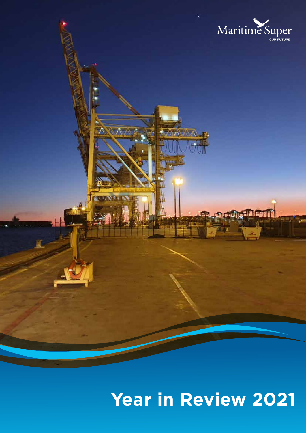

# **Year in Review 2021**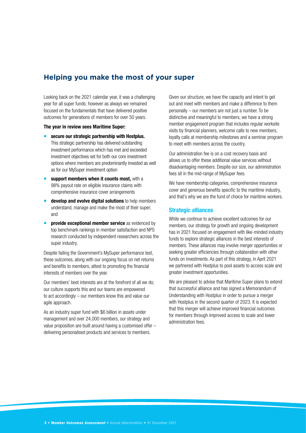## **Helping you make the most of your super**

Looking back on the 2021 calendar year, it was a challenging year for all super funds; however as always we remained focused on the fundamentals that have delivered positive outcomes for generations of members for over 50 years.

**The year in review sees Maritime Super:**

- **secure our strategic partnership with Hostplus.** This strategic partnership has delivered outstanding investment performance which has met and exceeded investment objectives set for both our core investment options where members are predominantly invested as well as for our MySuper investment option
- **support members when it counts most,** with a 98% payout rate on eligible insurance claims with comprehensive insurance cover arrangements
- **develop and evolve digital solutions** to help members understand, manage and make the most of their super; and
- **provide exceptional member service** as evidenced by top benchmark rankings in member satisfaction and NPS research conducted by independent researchers across the super industry.

Despite failing the Government's MySuper performance test, these outcomes, along with our ongoing focus on net returns and benefits to members, attest to promoting the financial interests of members over the year.

Our members' best interests are at the forefront of all we do; our culture supports this and our teams are empowered to act accordingly – our members know this and value our agile approach.

As an industry super fund with \$6 billion in assets under management and over 24,000 members, our strategy and value proposition are built around having a customised offer – delivering personalised products and services to members.

Given our structure, we have the capacity and intent to get out and meet with members and make a difference to them personally – our members are not just a number. To be distinctive and meaningful to members, we have a strong member engagement program that includes regular worksite visits by financial planners, welcome calls to new members, loyalty calls at membership milestones and a seminar program to meet with members across the country.

Our administration fee is on a cost recovery basis and allows us to offer these additional value services without disadvantaging members. Despite our size, our administration fees sit in the mid-range of MySuper fees.

We have membership categories, comprehensive insurance cover and generous benefits specific to the maritime industry, and that's why we are the fund of choice for maritime workers.

#### **Strategic alliances**

While we continue to achieve excellent outcomes for our members, our strategy for growth and ongoing development has in 2021 focused on engagement with like-minded industry funds to explore strategic alliances in the best interests of members. These alliances may involve merger opportunities or seeking greater efficiencies through collaboration with other funds on investments. As part of this strategy, in April 2021 we partnered with Hostplus to pool assets to access scale and greater investment opportunities.

We are pleased to advise that Maritime Super plans to extend that successful alliance and has signed a Memorandum of Understanding with Hostplus in order to pursue a merger with Hostplus in the second quarter of 2023. It is expected that this merger will achieve improved financial outcomes for members through improved access to scale and lower administration fees.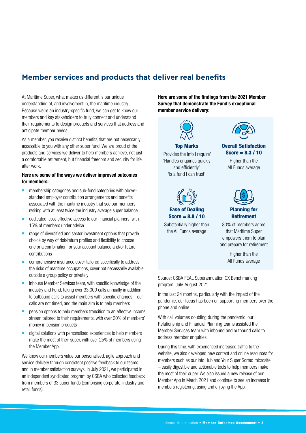# **Member services and products that deliver real benefits**

At Maritime Super, what makes us different is our unique understanding of, and involvement in, the maritime industry. Because we're an industry-specific fund, we can get to know our members and key stakeholders to truly connect and understand their requirements to design products and services that address and anticipate member needs.

As a member, you receive distinct benefits that are not necessarily accessible to you with any other super fund. We are proud of the products and services we deliver to help members achieve, not just a comfortable retirement, but financial freedom and security for life after work.

#### **Here are some of the ways we deliver improved outcomes for members:**

- membership categories and sub-fund categories with abovestandard employer contribution arrangements and benefits associated with the maritime industry that see our members retiring with at least twice the industry average super balance
- dedicated, cost-effective access to our financial planners, with 15% of members under advice
- range of diversified and sector investment options that provide choice by way of risk/return profiles and flexibility to choose one or a combination for your account balance and/or future contributions
- comprehensive insurance cover tailored specifically to address the risks of maritime occupations, cover not necessarily available outside a group policy or privately
- **n** inhouse Member Services team, with specific knowledge of the industry and Fund, taking over 33,000 calls annually in addition to outbound calls to assist members with specific changes – our calls are not timed, and the main aim is to help members
- pension options to help members transition to an effective income stream tailored to their requirements, with over 20% of members' money in pension products
- digital solutions with personalised experiences to help members make the most of their super, with over 25% of members using the Member App.

We know our members value our personalised, agile approach and service delivery through consistent positive feedback to our teams and in member satisfaction surveys. In July 2021, we participated in an independent syndicated program by CSBA who collected feedback from members of 33 super funds (comprising corporate, industry and retail funds).

**Here are some of the findings from the 2021 Member Survey that demonstrate the Fund's exceptional member service delivery:**



'Provides the info I require' 'Handles enquiries quickly and efficiently' 'Is a fund I can trust'



Ease of Dealing Score = 8.8 / 10

Substantially higher than the All Funds average



Overall Satisfaction Score =  $8.3 / 10$ Higher than the All Funds average



#### Planning for **Retirement**

80% of members agree that Maritime Super empowers them to plan and prepare for retirement

> Higher than the All Funds average

Source: CSBA FEAL Superannuation CX Benchmarking program, July-August 2021.

In the last 24 months, particularly with the impact of the pandemic, our focus has been on supporting members over the phone and online.

With call volumes doubling during the pandemic, our Relationship and Financial Planning teams assisted the Member Services team with inbound and outbound calls to address member enquiries.

During this time, with experienced increased traffic to the website, we also developed new content and online resources for members such as our Info Hub and Your Super Sorted microsite – easily digestible and actionable tools to help members make the most of their super. We also issued a new release of our Member App in March 2021 and continue to see an increase in members registering, using and enjoying the App.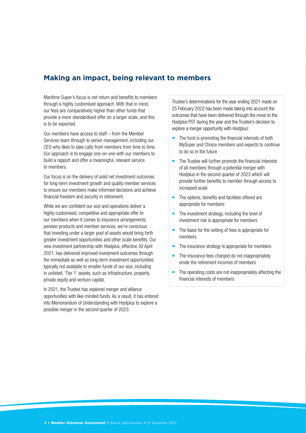# **Making an impact, being relevant to members**

Maritime Super's focus is net return and benefits to members through a highly customised approach. With that in mind, our fees are comparatively higher than other funds that provide a more standardised offer on a larger scale, and this is to be expected.

Our members have access to staff – from the Member Services team through to senior management, including our CEO who likes to take calls from members from time to time. Our approach is to engage one-on-one with our members to build a rapport and offer a meaningful, relevant service to members.

Our focus is on the delivery of solid net investment outcomes for long-term investment growth and quality member services to ensure our members make informed decisions and achieve financial freedom and security in retirement.

While we are confident our size and operations deliver a highly customised, competitive and appropriate offer to our members when it comes to insurance arrangements, pension products and member services, we're conscious that investing under a larger pool of assets would bring forth greater investment opportunities and other scale benefits. Our new investment partnership with Hostplus, effective 30 April 2021, has delivered improved investment outcomes through the immediate as well as long-term investment opportunities typically not available to smaller funds of our size, including in unlisted, 'Tier 1' assets, such as infrastructure, property, private equity and venture capital.

In 2021, the Trustee has explored merger and alliance opportunities with like-minded funds. As a result, it has entered into Memorandum of Understanding with Hostplus to explore a possible merger in the second quarter of 2023.

Trustee's determinations for the year ending 2021 made on 25 February 2022 has been made taking into account the outcomes that have been delivered through the move to the Hostplus PST during the year and the Trustee's decision to explore a merger opportunity with Hostplus:

- The fund is promoting the financial interests of both MySuper and Choice members and expects to continue to do so in the future
- The Trustee will further promote the financial interests of all members through a potential merger with Hostplus in the second quarter of 2023 which will provide further benefits to member through access to increased scale
- The options, benefits and facilities offered are appropriate for members
- The investment strategy, including the level of investment risk is appropriate for members
- $\blacksquare$  The basis for the setting of fees is appropriate for members
- $\blacksquare$  The insurance strategy is appropriate for members
- The insurance fees charged do not inappropriately erode the retirement incomes of members
- The operating costs are not inappropriately affecting the financial interests of members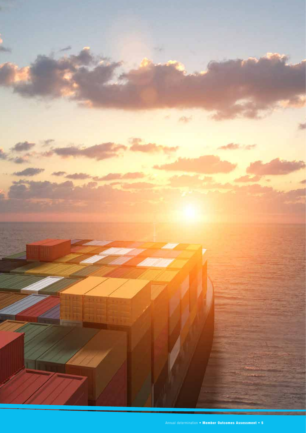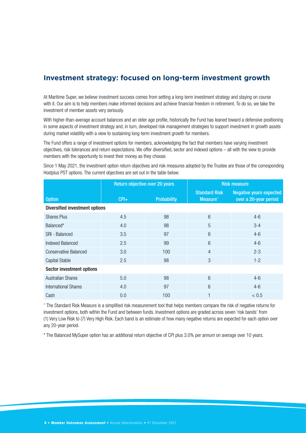# **Investment strategy: focused on long-term investment growth**

At Maritime Super, we believe investment success comes from setting a long-term investment strategy and staying on course with it. Our aim is to help members make informed decisions and achieve financial freedom in retirement. To do so, we take the investment of member assets very seriously.

With higher-than-average account balances and an older age profile, historically the Fund has leaned toward a defensive positioning in some aspects of investment strategy and, in turn, developed risk management strategies to support investment in growth assets during market volatility with a view to sustaining long-term investment growth for members.

The Fund offers a range of investment options for members, acknowledging the fact that members have varying investment objectives, risk tolerances and return expectations. We offer diversified, sector and indexed options – all with the view to provide members with the opportunity to invest their money as they choose.

Since 1 May 2021, the investment option return objectives and risk measures adopted by the Trustee are those of the corresponding Hostplus PST options. The current objectives are set out in the table below:

|                                       | Return objective over 20 years |                    | <b>Risk measure</b>                          |                                                         |  |  |
|---------------------------------------|--------------------------------|--------------------|----------------------------------------------|---------------------------------------------------------|--|--|
| <b>Option</b>                         | $CPI+$                         | <b>Probability</b> | <b>Standard Risk</b><br>Measure <sup>^</sup> | <b>Negative years expected</b><br>over a 20-year period |  |  |
| <b>Diversified investment options</b> |                                |                    |                                              |                                                         |  |  |
| <b>Shares Plus</b>                    | 4.5                            | 98                 | 6                                            | $4 - 6$                                                 |  |  |
| Balanced*                             | 4.0                            | 98                 | 5                                            | $3 - 4$                                                 |  |  |
| SRI - Balanced                        | 3.5                            | 97                 | 6                                            | $4 - 6$                                                 |  |  |
| Indexed Balanced                      | 2.5                            | 99                 | 6                                            | $4 - 6$                                                 |  |  |
| Conservative Balanced                 | 3.0                            | 100                | $\overline{4}$                               | $2 - 3$                                                 |  |  |
| <b>Capital Stable</b>                 | 2.5                            | 98                 | 3                                            | $1-2$                                                   |  |  |
| Sector investment options             |                                |                    |                                              |                                                         |  |  |
| <b>Australian Shares</b>              | 5.0                            | 98                 | 6                                            | $4 - 6$                                                 |  |  |
| <b>International Shares</b>           | 4.0                            | 97                 | 6                                            | $4-6$                                                   |  |  |
| Cash                                  | 0.0                            | 100                | H                                            | < 0.5                                                   |  |  |

^ The Standard Risk Measure is a simplified risk measurement tool that helps members compare the risk of negative returns for investment options, both within the Fund and between funds. Investment options are graded across seven 'risk bands' from (1) Very Low Risk to (7) Very High Risk. Each band is an estimate of how many negative returns are expected for each option over any 20-year period.

\* The Balanced MySuper option has an additional return objective of CPI plus 3.0% per annum on average over 10 years.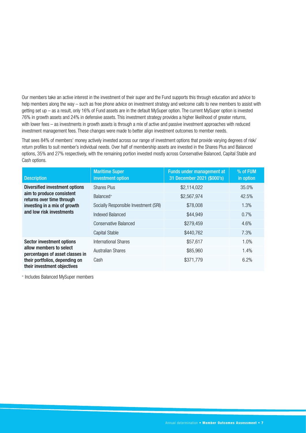Our members take an active interest in the investment of their super and the Fund supports this through education and advice to help members along the way – such as free phone advice on investment strategy and welcome calls to new members to assist with getting set up – as a result, only 16% of Fund assets are in the default MySuper option. The current MySuper option is invested 76% in growth assets and 24% in defensive assets. This investment strategy provides a higher likelihood of greater returns, with lower fees – as investments in growth assets is through a mix of active and passive investment approaches with reduced investment management fees. These changes were made to better align investment outcomes to member needs.

That sees 84% of members' money actively invested across our range of investment options that provide varying degrees of risk/ return profiles to suit member's individual needs. Over half of membership assets are invested in the Shares Plus and Balanced options, 35% and 27% respectively, with the remaining portion invested mostly across Conservative Balanced, Capital Stable and Cash options.

| <b>Description</b>                                            | <b>Maritime Super</b><br>investment option | <b>Funds under management at</b><br>31 December 2021 (\$000's) | % of FUM<br>in option |
|---------------------------------------------------------------|--------------------------------------------|----------------------------------------------------------------|-----------------------|
| <b>Diversified investment options</b>                         | <b>Shares Plus</b>                         | \$2,114,022                                                    | 35.0%                 |
| aim to produce consistent<br>returns over time through        | Balanced <sup>+</sup>                      | \$2,567,974                                                    | 42.5%                 |
| investing in a mix of growth<br>and low risk investments      | Socially Responsible Investment (SRI)      | \$78,008                                                       | 1.3%                  |
|                                                               | Indexed Balanced                           | \$44,949                                                       | 0.7%                  |
|                                                               | <b>Conservative Balanced</b>               | \$279,459                                                      | 4.6%                  |
|                                                               | <b>Capital Stable</b>                      | \$440,762                                                      | 7.3%                  |
| Sector investment options                                     | International Shares                       | \$57,617                                                       | 1.0%                  |
| allow members to select<br>percentages of asset classes in    | <b>Australian Shares</b>                   | \$85,960                                                       | 1.4%                  |
| their portfolios, depending on<br>their investment objectives | Cash                                       | \$371,779                                                      | 6.2%                  |

+ Includes Balanced MySuper members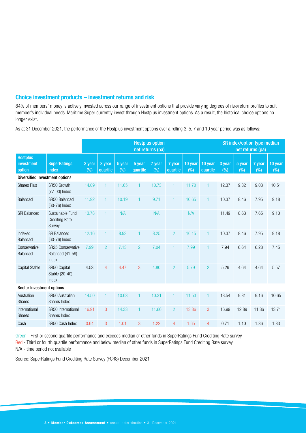#### **Choice investment products – investment returns and risk**

84% of members' money is actively invested across our range of investment options that provide varying degrees of risk/return profiles to suit member's individual needs. Maritime Super currently invest through Hostplus investment options. As a result, the historical choice options no longer exist.

As at 31 December 2021, the performance of the Hostplus investment options over a rolling 3, 5, 7 and 10 year period was as follows:

|                                         |                                                       | <b>Hostplus option</b><br>net returns (pa) |                    |               |                    |               |                    | <b>SR</b> index/option type median<br>net returns (pa) |                     |               |               |               |                |
|-----------------------------------------|-------------------------------------------------------|--------------------------------------------|--------------------|---------------|--------------------|---------------|--------------------|--------------------------------------------------------|---------------------|---------------|---------------|---------------|----------------|
| <b>Hostplus</b><br>investment<br>option | <b>SuperRatings</b><br><b>Index</b>                   | 3 year<br>(%)                              | 3 year<br>quartile | 5 year<br>(%) | 5 year<br>quartile | 7 year<br>(%) | 7 year<br>quartile | 10 year<br>(%)                                         | 10 year<br>quartile | 3 year<br>(%) | 5 year<br>(%) | 7 year<br>(%) | 10 year<br>(%) |
| <b>Diversified investment options</b>   |                                                       |                                            |                    |               |                    |               |                    |                                                        |                     |               |               |               |                |
| <b>Shares Plus</b>                      | SR50 Growth<br>(77-90) Index                          | 14.09                                      | 1                  | 11.65         | 1                  | 10.73         | $\mathbf{1}$       | 11.70                                                  | 1                   | 12.37         | 9.82          | 9.03          | 10.51          |
| Balanced                                | SR50 Balanced<br>(60-76) Index                        | 11.92                                      | 1                  | 10.19         | 1                  | 9.71          | $\mathbf{1}$       | 10.65                                                  | 1                   | 10.37         | 8.46          | 7.95          | 9.18           |
| <b>SRI Balanced</b>                     | Sustainable Fund<br><b>Crediting Rate</b><br>Survey   | 13.78                                      | 1                  | N/A           |                    | N/A           |                    | N/A                                                    |                     | 11.49         | 8.63          | 7.65          | 9.10           |
| Indexed<br>Balanced                     | <b>SR Balanced</b><br>(60-76) Index                   | 12.16                                      | 1                  | 8.93          | 1                  | 8.25          | $\overline{2}$     | 10.15                                                  | $\mathbf{1}$        | 10.37         | 8.46          | 7.95          | 9.18           |
| Conservative<br>Balanced                | <b>SR25 Conservative</b><br>Balanced (41-59)<br>Index | 7.99                                       | $\overline{2}$     | 7.13          | $\overline{c}$     | 7.04          | $\mathbf{1}$       | 7.99                                                   | 1                   | 7.94          | 6.64          | 6.28          | 7.45           |
| <b>Capital Stable</b>                   | SR50 Capital<br>Stable (20-40)<br>Index               | 4.53                                       | $\overline{4}$     | 4.47          | 3                  | 4.80          | $\overline{2}$     | 5.79                                                   | $\overline{2}$      | 5.29          | 4.64          | 4.64          | 5.57           |
| <b>Sector Investment options</b>        |                                                       |                                            |                    |               |                    |               |                    |                                                        |                     |               |               |               |                |
| Australian<br><b>Shares</b>             | SR50 Australian<br>Shares Index                       | 14.50                                      | 1                  | 10.63         | 1                  | 10.31         | $\mathbf{1}$       | 11.53                                                  | 1                   | 13.54         | 9.81          | 9.16          | 10.65          |
| International<br><b>Shares</b>          | SR50 International<br>Shares Index                    | 16.91                                      | 3                  | 14.33         | 1                  | 11.66         | $\overline{2}$     | 13.36                                                  | 3                   | 16.99         | 12.89         | 11.36         | 13.71          |
| Cash                                    | SR50 Cash Index                                       | 0.64                                       | 3                  | 1.01          | 3                  | 1.22          | $\overline{4}$     | 1.65                                                   | $\overline{4}$      | 0.71          | 1.10          | 1.36          | 1.83           |

Green - First or second quartile performance and exceeds median of other funds in SuperRatings Fund Crediting Rate survey Red - Third or fourth quartile performance and below median of other funds in SuperRatings Fund Crediting Rate survey N/A - time period not available

Source: SuperRatings Fund Crediting Rate Survey (FCRS) December 2021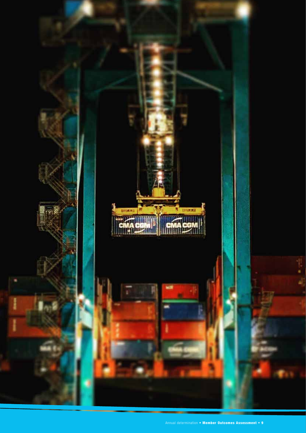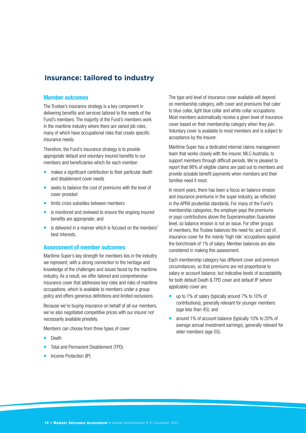# **Insurance: tailored to industry**

#### **Member outcomes**

The Trustee's insurance strategy is a key component in delivering benefits and services tailored to the needs of the Fund's members. The majority of the Fund's members work in the maritime industry where there are varied job roles, many of which have occupational risks that create specific insurance needs.

Therefore, the Fund's insurance strategy is to provide appropriate default and voluntary insured benefits to our members and beneficiaries which for each member:

- makes a significant contribution to their particular death and disablement cover needs
- seeks to balance the cost of premiums with the level of cover provided
- limits cross subsidies between members
- is monitored and reviewed to ensure the ongoing insured benefits are appropriate; and
- $\blacksquare$  is delivered in a manner which is focused on the members' best interests.

#### **Assessment of member outcomes**

Maritime Super's key strength for members lies in the industry we represent, with a strong connection to the heritage and knowledge of the challenges and issues faced by the maritime industry. As a result, we offer tailored and comprehensive insurance cover that addresses key roles and risks of maritime occupations, which is available to members under a group policy and offers generous definitions and limited exclusions.

Because we're buying insurance on behalf of all our members, we've also negotiated competitive prices with our insurer not necessarily available privately.

Members can choose from three types of cover:

- Death
- Total and Permanent Disablement (TPD)
- Income Protection (IP)

The type and level of insurance cover available will depend on membership category, with cover and premiums that cater to blue collar, light blue collar and white collar occupations. Most members automatically receive a given level of insurance cover based on their membership category when they join. Voluntary cover is available to most members and is subject to acceptance by the Insurer.

Maritime Super has a dedicated internal claims management team that works closely with the insurer, MLC Australia, to support members through difficult periods. We're pleased to report that 98% of eligible claims are paid out to members and provide sizeable benefit payments when members and their families need it most.

In recent years, there has been a focus on balance erosion and insurance premiums in the super industry, as reflected in the APRA prudential standards. For many of the Fund's membership categories, the employer pays the premiums or pays contributions above the Superannuation Guarantee level, so balance erosion is not an issue. For other groups of members, the Trustee balances the need for, and cost of, insurance cover for the mainly 'high risk' occupations against the benchmark of 1% of salary. Member balances are also considered in making this assessment.

Each membership category has different cover and premium circumstances, so that premiums are not proportional to salary or account balance, but indicative levels of acceptability for both default Death & TPD cover and default IP (where applicable) cover are:

- up to 1% of salary (typically around 7% to 10% of contributions), generally relevant for younger members (age less than 45); and
- around 1% of account balance (typically 10% to 20% of average annual investment earnings), generally relevant for older members (age 55).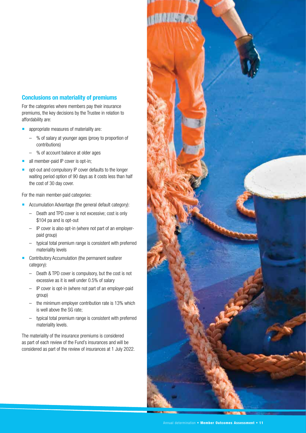#### **Conclusions on materiality of premiums**

For the categories where members pay their insurance premiums, the key decisions by the Trustee in relation to affordability are:

- **a** appropriate measures of materiality are:
	- % of salary at younger ages (proxy to proportion of contributions)
	- % of account balance at older ages
- all member-paid IP cover is opt-in:
- opt-out and compulsory IP cover defaults to the longer waiting period option of 90 days as it costs less than half the cost of 30 day cover.

For the main member-paid categories:

- **Accumulation Advantage (the general default category):** 
	- Death and TPD cover is not excessive; cost is only \$104 pa and is opt-out
	- IP cover is also opt-in (where not part of an employerpaid group)
	- typical total premium range is consistent with preferred materiality levels
- Contributory Accumulation (the permanent seafarer category):
	- Death & TPD cover is compulsory, but the cost is not excessive as it is well under 0.5% of salary
	- IP cover is opt-in (where not part of an employer-paid group)
	- the minimum employer contribution rate is 13% which is well above the SG rate;
	- typical total premium range is consistent with preferred materiality levels.

The materiality of the insurance premiums is considered as part of each review of the Fund's insurances and will be considered as part of the review of insurances at 1 July 2022.

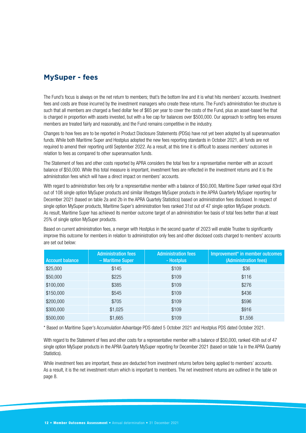# **MySuper - fees**

The Fund's focus is always on the net return to members; that's the bottom line and it is what hits members' accounts. Investment fees and costs are those incurred by the investment managers who create these returns. The Fund's administration fee structure is such that all members are charged a fixed dollar fee of \$65 per year to cover the costs of the Fund, plus an asset-based fee that is charged in proportion with assets invested, but with a fee cap for balances over \$500,000. Our approach to setting fees ensures members are treated fairly and reasonably, and the Fund remains competitive in the industry.

Changes to how fees are to be reported in Product Disclosure Statements (PDSs) have not yet been adopted by all superannuation funds. While both Maritime Super and Hostplus adopted the new fees reporting standards in October 2021, all funds are not required to amend their reporting until September 2022. As a result, at this time it is difficult to assess members' outcomes in relation to fees as compared to other superannuation funds.

The Statement of fees and other costs reported by APRA considers the total fees for a representative member with an account balance of \$50,000. While this total measure is important, investment fees are reflected in the investment returns and it is the administration fees which will have a direct impact on members' accounts.

With regard to administration fees only for a representative member with a balance of \$50,000, Maritime Super ranked equal 83rd out of 108 single option MySuper products and similar lifestages MySuper products in the APRA Quarterly MySuper reporting for December 2021 (based on table 2a and 2b in the APRA Quartely Statistics) based on administration fees disclosed. In respect of single option MySuper products, Maritime Super's administration fees ranked 31st out of 47 single option MySuper products. As result, Maritime Super has achieved its member outcome target of an administration fee basis of total fees better than at least 25% of single option MySuper products.

Based on current administration fees, a merger with Hostplus in the second quarter of 2023 will enable Trustee to significantly improve this outcome for members in relation to administration only fees and other disclosed costs charged to members' accounts are set out below:

| <b>Account balance</b> | <b>Administration fees</b><br>- Maritime Super | <b>Administration fees</b><br>- Hostplus | Improvement* in member outcomes<br>(Administration fees) |
|------------------------|------------------------------------------------|------------------------------------------|----------------------------------------------------------|
| \$25,000               | \$145                                          | \$109                                    | \$36                                                     |
| \$50,000               | \$225                                          | \$109                                    | \$116                                                    |
| \$100,000              | \$385                                          | \$109                                    | \$276                                                    |
| \$150,000              | \$545                                          | \$109                                    | \$436                                                    |
| \$200,000              | \$705                                          | \$109                                    | \$596                                                    |
| \$300,000              | \$1,025                                        | \$109                                    | \$916                                                    |
| \$500,000              | \$1,665                                        | \$109                                    | \$1,556                                                  |

\* Based on Maritime Super's Accumulation Advantage PDS dated 5 October 2021 and Hostplus PDS dated October 2021.

With regard to the Statement of fees and other costs for a representative member with a balance of \$50,000, ranked 45th out of 47 single option MySuper products in the APRA Quarterly MySuper reporting for December 2021 (based on table 1a in the APRA Quartely Statistics).

While investment fees are important, these are deducted from investment returns before being applied to members' accounts. As a result, it is the net investment return which is important to members. The net investment returns are outlined in the table on page 8.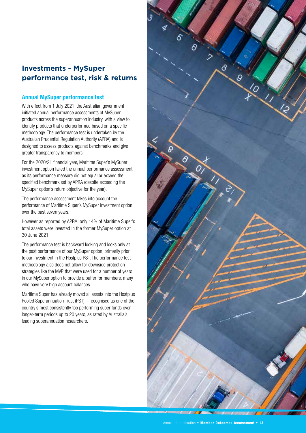# **Investments - MySuper performance test, risk & returns**

## **Annual MySuper performance test**

With effect from 1 July 2021, the Australian government initiated annual performance assessments of MySuper products across the superannuation industry, with a view to identify products that underperformed based on a specific methodology. The performance test is undertaken by the Australian Prudential Regulation Authority (APRA) and is designed to assess products against benchmarks and give greater transparency to members.

For the 2020/21 financial year, Maritime Super's MySuper investment option failed the annual performance assessment, as its performance measure did not equal or exceed the specified benchmark set by APRA (despite exceeding the MySuper option's return objective for the year).

The performance assessment takes into account the performance of Maritime Super's MySuper investment option over the past seven years.

However as reported by APRA, only 14% of Maritime Super's total assets were invested in the former MySuper option at 30 June 2021.

The performance test is backward looking and looks only at the past performance of our MySuper option, primarily prior to our investment in the Hostplus PST. The performance test methodology also does not allow for downside protection strategies like the MVP that were used for a number of years in our MySuper option to provide a buffer for members, many who have very high account balances.

Maritime Super has already moved all assets into the Hostplus Pooled Superannuation Trust (PST) – recognised as one of the country's most consistently top performing super funds over longer-term periods up to 20 years, as rated by Australia's leading superannuation researchers.

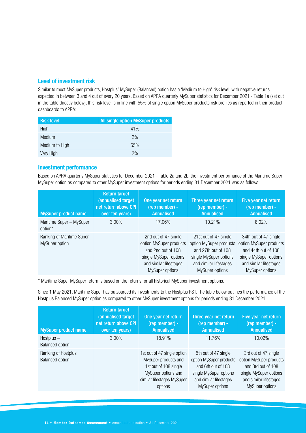## **Level of investment risk**

Similar to most MySuper products, Hostplus' MySuper (Balanced) option has a 'Medium to High' risk level, with negative returns expected in between 3 and 4 out of every 20 years. Based on APRA quarterly MySuper statistics for December 2021 - Table 1a (set out in the table directly below), this risk level is in line with 55% of single option MySuper products risk profiles as reported in their product dashboards to APRA:

| <b>Risk level</b> | All single option MySuper products |
|-------------------|------------------------------------|
| High              | 41%                                |
| Medium            | 2%                                 |
| Medium to High    | 55%                                |
| Very High         | 2%                                 |

### **Investment performance**

Based on APRA quarterly MySuper statistics for December 2021 - Table 2a and 2b, the investment performance of the Maritime Super MySuper option as compared to other MySuper investment options for periods ending 31 December 2021 was as follows:

| <b>MySuper product name</b>                 | <b>Return target</b><br>(annualised target<br>net return above CPI<br>over ten years) | One year net return<br>(rep member) -<br><b>Annualised</b>                                                                                   | Three year net return<br>(rep member) -<br><b>Annualised</b>                                                                                   | Five year net return<br>(rep member) -<br><b>Annualised</b>                                                                                           |
|---------------------------------------------|---------------------------------------------------------------------------------------|----------------------------------------------------------------------------------------------------------------------------------------------|------------------------------------------------------------------------------------------------------------------------------------------------|-------------------------------------------------------------------------------------------------------------------------------------------------------|
| Maritime Super - MySuper<br>option*         | 3.00%                                                                                 | 17.06%                                                                                                                                       | 10.21%                                                                                                                                         | 8.02%                                                                                                                                                 |
| Ranking of Maritime Super<br>MySuper option |                                                                                       | 2nd out of 47 single<br>option MySuper products<br>and 2nd out of 108<br>single MySuper options<br>and similar lifestages<br>MySuper options | 21st out of 47 single<br>option MySuper products<br>and 27th out of 108<br>single MySuper options<br>and similar lifestages<br>MySuper options | 34th out of 47 single<br>option MySuper products<br>and 44th out of 108<br>single MySuper options<br>and similar lifestages<br><b>MySuper options</b> |

\* Maritime Super MySuper return is based on the returns for all historical MySuper investment options.

Since 1 May 2021, Maritime Super has outsourced its investments to the Hostplus PST. The table below outlines the performance of the Hostplus Balanced MySuper option as compared to other MySuper investment options for periods ending 31 December 2021.

| <b>MySuper product name</b>                   | <b>Return target</b><br>(annualised target<br>net return above CPI<br>over ten years) | One year net return<br>(rep member) -<br><b>Annualised</b>                                                                                   | Three year net return<br>(rep member) -<br><b>Annualised</b>                                                                                 | Five year net return<br>(rep member) -<br><b>Annualised</b>                                                                                  |
|-----------------------------------------------|---------------------------------------------------------------------------------------|----------------------------------------------------------------------------------------------------------------------------------------------|----------------------------------------------------------------------------------------------------------------------------------------------|----------------------------------------------------------------------------------------------------------------------------------------------|
| Hostplus $-$<br><b>Balanced option</b>        | $3.00\%$                                                                              | 18.91%                                                                                                                                       | 11.76%                                                                                                                                       | 10.02%                                                                                                                                       |
| Ranking of Hostplus<br><b>Balanced option</b> |                                                                                       | 1st out of 47 single option<br>MySuper products and<br>1st out of 108 single<br>MySuper options and<br>similar lifestages MySuper<br>options | 5th out of 47 single<br>option MySuper products<br>and 6th out of 108<br>single MySuper options<br>and similar lifestages<br>MySuper options | 3rd out of 47 single<br>option MySuper products<br>and 3rd out of 108<br>single MySuper options<br>and similar lifestages<br>MySuper options |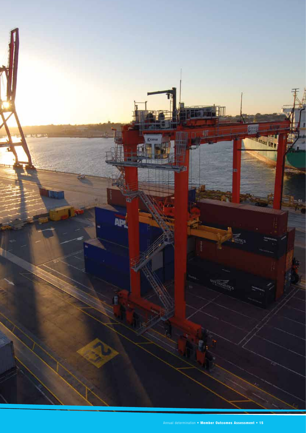